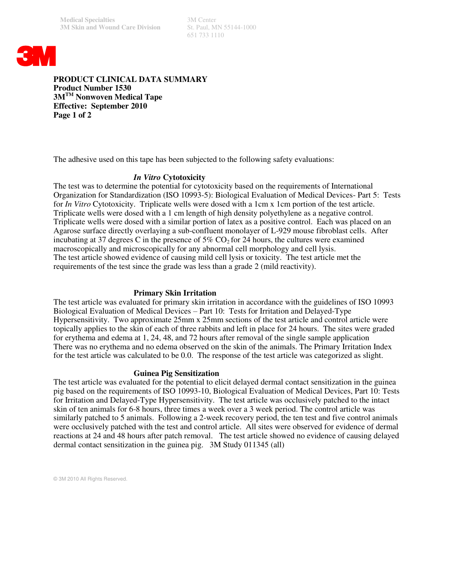651 733 1110



**PRODUCT CLINICAL DATA SUMMARY Product Number 1530 3MTM Nonwoven Medical Tape Effective: September 2010 Page 1 of 2**

The adhesive used on this tape has been subjected to the following safety evaluations:

## *In Vitro* **Cytotoxicity**

The test was to determine the potential for cytotoxicity based on the requirements of International Organization for Standardization (ISO 10993-5): Biological Evaluation of Medical Devices- Part 5: Tests for *In Vitro* Cytotoxicity. Triplicate wells were dosed with a 1cm x 1cm portion of the test article. Triplicate wells were dosed with a 1 cm length of high density polyethylene as a negative control. Triplicate wells were dosed with a similar portion of latex as a positive control. Each was placed on an Agarose surface directly overlaying a sub-confluent monolayer of L-929 mouse fibroblast cells. After incubating at 37 degrees C in the presence of  $5\%$  CO<sub>2</sub> for 24 hours, the cultures were examined macroscopically and microscopically for any abnormal cell morphology and cell lysis. The test article showed evidence of causing mild cell lysis or toxicity. The test article met the requirements of the test since the grade was less than a grade 2 (mild reactivity).

## **Primary Skin Irritation**

The test article was evaluated for primary skin irritation in accordance with the guidelines of ISO 10993 Biological Evaluation of Medical Devices – Part 10: Tests for Irritation and Delayed-Type Hypersensitivity. Two approximate 25mm x 25mm sections of the test article and control article were topically applies to the skin of each of three rabbits and left in place for 24 hours. The sites were graded for erythema and edema at 1, 24, 48, and 72 hours after removal of the single sample application There was no erythema and no edema observed on the skin of the animals. The Primary Irritation Index for the test article was calculated to be 0.0. The response of the test article was categorized as slight.

### **Guinea Pig Sensitization**

The test article was evaluated for the potential to elicit delayed dermal contact sensitization in the guinea pig based on the requirements of ISO 10993-10, Biological Evaluation of Medical Devices, Part 10: Tests for Irritation and Delayed-Type Hypersensitivity. The test article was occlusively patched to the intact skin of ten animals for 6-8 hours, three times a week over a 3 week period. The control article was similarly patched to 5 animals. Following a 2-week recovery period, the ten test and five control animals were occlusively patched with the test and control article. All sites were observed for evidence of dermal reactions at 24 and 48 hours after patch removal. The test article showed no evidence of causing delayed dermal contact sensitization in the guinea pig. 3M Study 011345 (all)